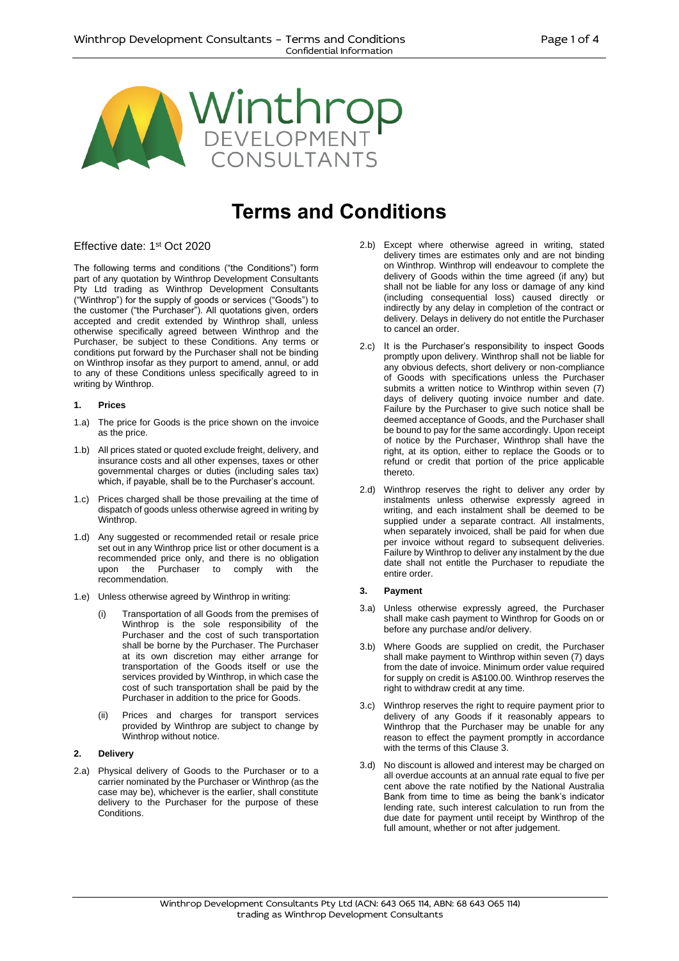

# **Terms and Conditions**

# Effective date: 1st Oct 2020

The following terms and conditions ("the Conditions") form part of any quotation by Winthrop Development Consultants Pty Ltd trading as Winthrop Development Consultants ("Winthrop") for the supply of goods or services ("Goods") to the customer ("the Purchaser"). All quotations given, orders accepted and credit extended by Winthrop shall, unless otherwise specifically agreed between Winthrop and the Purchaser, be subject to these Conditions. Any terms or conditions put forward by the Purchaser shall not be binding on Winthrop insofar as they purport to amend, annul, or add to any of these Conditions unless specifically agreed to in writing by Winthrop.

#### **1. Prices**

- 1.a) The price for Goods is the price shown on the invoice as the price.
- 1.b) All prices stated or quoted exclude freight, delivery, and insurance costs and all other expenses, taxes or other governmental charges or duties (including sales tax) which, if payable, shall be to the Purchaser's account.
- 1.c) Prices charged shall be those prevailing at the time of dispatch of goods unless otherwise agreed in writing by Winthrop.
- 1.d) Any suggested or recommended retail or resale price set out in any Winthrop price list or other document is a recommended price only, and there is no obligation upon the Purchaser to comply with the recommendation.
- 1.e) Unless otherwise agreed by Winthrop in writing:
	- (i) Transportation of all Goods from the premises of Winthrop is the sole responsibility of the Purchaser and the cost of such transportation shall be borne by the Purchaser. The Purchaser at its own discretion may either arrange for transportation of the Goods itself or use the services provided by Winthrop, in which case the cost of such transportation shall be paid by the Purchaser in addition to the price for Goods.
	- (ii) Prices and charges for transport services provided by Winthrop are subject to change by Winthrop without notice.

# **2. Delivery**

2.a) Physical delivery of Goods to the Purchaser or to a carrier nominated by the Purchaser or Winthrop (as the case may be), whichever is the earlier, shall constitute delivery to the Purchaser for the purpose of these Conditions.

- 2.b) Except where otherwise agreed in writing, stated delivery times are estimates only and are not binding on Winthrop. Winthrop will endeavour to complete the delivery of Goods within the time agreed (if any) but shall not be liable for any loss or damage of any kind (including consequential loss) caused directly or indirectly by any delay in completion of the contract or delivery. Delays in delivery do not entitle the Purchaser to cancel an order.
- 2.c) It is the Purchaser's responsibility to inspect Goods promptly upon delivery. Winthrop shall not be liable for any obvious defects, short delivery or non-compliance of Goods with specifications unless the Purchaser submits a written notice to Winthrop within seven (7) days of delivery quoting invoice number and date. Failure by the Purchaser to give such notice shall be deemed acceptance of Goods, and the Purchaser shall be bound to pay for the same accordingly. Upon receipt of notice by the Purchaser, Winthrop shall have the right, at its option, either to replace the Goods or to refund or credit that portion of the price applicable thereto.
- 2.d) Winthrop reserves the right to deliver any order by instalments unless otherwise expressly agreed in writing, and each instalment shall be deemed to be supplied under a separate contract. All instalments, when separately invoiced, shall be paid for when due per invoice without regard to subsequent deliveries. Failure by Winthrop to deliver any instalment by the due date shall not entitle the Purchaser to repudiate the entire order.

# **3. Payment**

- 3.a) Unless otherwise expressly agreed, the Purchaser shall make cash payment to Winthrop for Goods on or before any purchase and/or delivery.
- 3.b) Where Goods are supplied on credit, the Purchaser shall make payment to Winthrop within seven (7) days from the date of invoice. Minimum order value required for supply on credit is A\$100.00. Winthrop reserves the right to withdraw credit at any time.
- 3.c) Winthrop reserves the right to require payment prior to delivery of any Goods if it reasonably appears to Winthrop that the Purchaser may be unable for any reason to effect the payment promptly in accordance with the terms of this Clause 3.
- 3.d) No discount is allowed and interest may be charged on all overdue accounts at an annual rate equal to five per cent above the rate notified by the National Australia Bank from time to time as being the bank's indicator lending rate, such interest calculation to run from the due date for payment until receipt by Winthrop of the full amount, whether or not after judgement.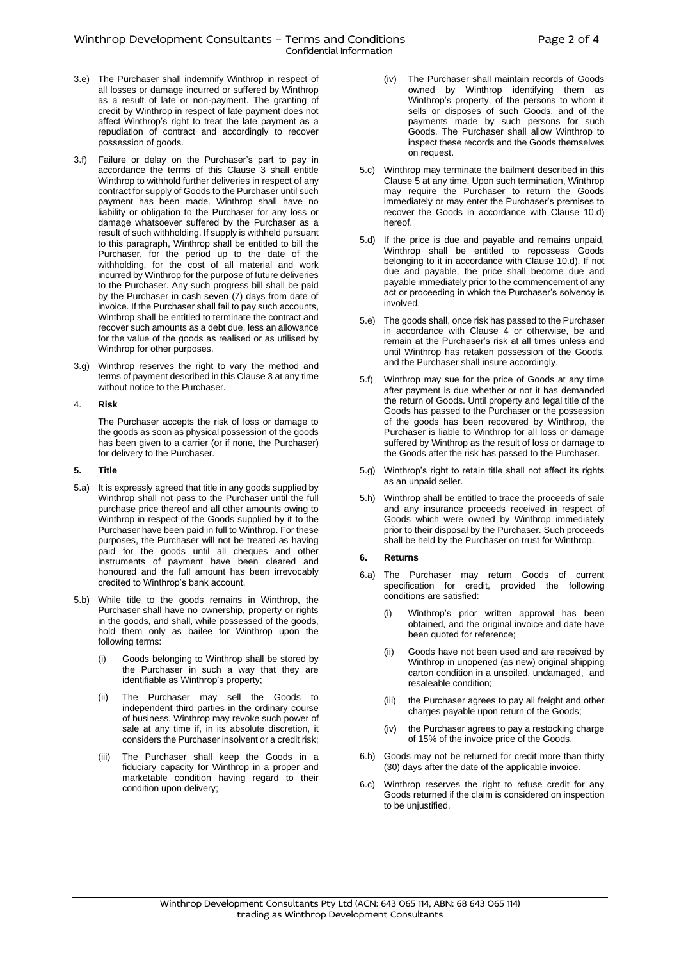- 3.e) The Purchaser shall indemnify Winthrop in respect of all losses or damage incurred or suffered by Winthrop as a result of late or non-payment. The granting of credit by Winthrop in respect of late payment does not affect Winthrop's right to treat the late payment as a repudiation of contract and accordingly to recover possession of goods.
- 3.f) Failure or delay on the Purchaser's part to pay in accordance the terms of this Clause 3 shall entitle Winthrop to withhold further deliveries in respect of any contract for supply of Goods to the Purchaser until such payment has been made. Winthrop shall have no liability or obligation to the Purchaser for any loss or damage whatsoever suffered by the Purchaser as a result of such withholding. If supply is withheld pursuant to this paragraph, Winthrop shall be entitled to bill the Purchaser, for the period up to the date of the withholding, for the cost of all material and work incurred by Winthrop for the purpose of future deliveries to the Purchaser. Any such progress bill shall be paid by the Purchaser in cash seven (7) days from date of invoice. If the Purchaser shall fail to pay such accounts, Winthrop shall be entitled to terminate the contract and recover such amounts as a debt due, less an allowance for the value of the goods as realised or as utilised by Winthrop for other purposes.
- 3.g) Winthrop reserves the right to vary the method and terms of payment described in this Clause 3 at any time without notice to the Purchaser.

## 4. **Risk**

The Purchaser accepts the risk of loss or damage to the goods as soon as physical possession of the goods has been given to a carrier (or if none, the Purchaser) for delivery to the Purchaser.

#### **5. Title**

- 5.a) It is expressly agreed that title in any goods supplied by Winthrop shall not pass to the Purchaser until the full purchase price thereof and all other amounts owing to Winthrop in respect of the Goods supplied by it to the Purchaser have been paid in full to Winthrop. For these purposes, the Purchaser will not be treated as having paid for the goods until all cheques and other instruments of payment have been cleared and honoured and the full amount has been irrevocably credited to Winthrop's bank account.
- 5.b) While title to the goods remains in Winthrop, the Purchaser shall have no ownership, property or rights in the goods, and shall, while possessed of the goods, hold them only as bailee for Winthrop upon the following terms:
	- Goods belonging to Winthrop shall be stored by the Purchaser in such a way that they are identifiable as Winthrop's property;
	- (ii) The Purchaser may sell the Goods to independent third parties in the ordinary course of business. Winthrop may revoke such power of sale at any time if, in its absolute discretion, it considers the Purchaser insolvent or a credit risk;
	- (iii) The Purchaser shall keep the Goods in a fiduciary capacity for Winthrop in a proper and marketable condition having regard to their condition upon delivery;
- (iv) The Purchaser shall maintain records of Goods owned by Winthrop identifying them as Winthrop's property, of the persons to whom it sells or disposes of such Goods, and of the payments made by such persons for such Goods. The Purchaser shall allow Winthrop to inspect these records and the Goods themselves on request.
- 5.c) Winthrop may terminate the bailment described in this Clause 5 at any time. Upon such termination, Winthrop may require the Purchaser to return the Goods immediately or may enter the Purchaser's premises to recover the Goods in accordance with Clause 10.d) hereof.
- 5.d) If the price is due and payable and remains unpaid, Winthrop shall be entitled to repossess Goods belonging to it in accordance with Clause 10.d). If not due and payable, the price shall become due and payable immediately prior to the commencement of any act or proceeding in which the Purchaser's solvency is involved.
- 5.e) The goods shall, once risk has passed to the Purchaser in accordance with Clause 4 or otherwise, be and remain at the Purchaser's risk at all times unless and until Winthrop has retaken possession of the Goods, and the Purchaser shall insure accordingly.
- 5.f) Winthrop may sue for the price of Goods at any time after payment is due whether or not it has demanded the return of Goods. Until property and legal title of the Goods has passed to the Purchaser or the possession of the goods has been recovered by Winthrop, the Purchaser is liable to Winthrop for all loss or damage suffered by Winthrop as the result of loss or damage to the Goods after the risk has passed to the Purchaser.
- 5.g) Winthrop's right to retain title shall not affect its rights as an unpaid seller.
- 5.h) Winthrop shall be entitled to trace the proceeds of sale and any insurance proceeds received in respect of Goods which were owned by Winthrop immediately prior to their disposal by the Purchaser. Such proceeds shall be held by the Purchaser on trust for Winthrop.

#### **6. Returns**

- 6.a) The Purchaser may return Goods of current specification for credit, provided the following conditions are satisfied:
	- (i) Winthrop's prior written approval has been obtained, and the original invoice and date have been quoted for reference;
	- (ii) Goods have not been used and are received by Winthrop in unopened (as new) original shipping carton condition in a unsoiled, undamaged, and resaleable condition;
	- (iii) the Purchaser agrees to pay all freight and other charges payable upon return of the Goods;
	- (iv) the Purchaser agrees to pay a restocking charge of 15% of the invoice price of the Goods.
- 6.b) Goods may not be returned for credit more than thirty (30) days after the date of the applicable invoice.
- 6.c) Winthrop reserves the right to refuse credit for any Goods returned if the claim is considered on inspection to be unjustified.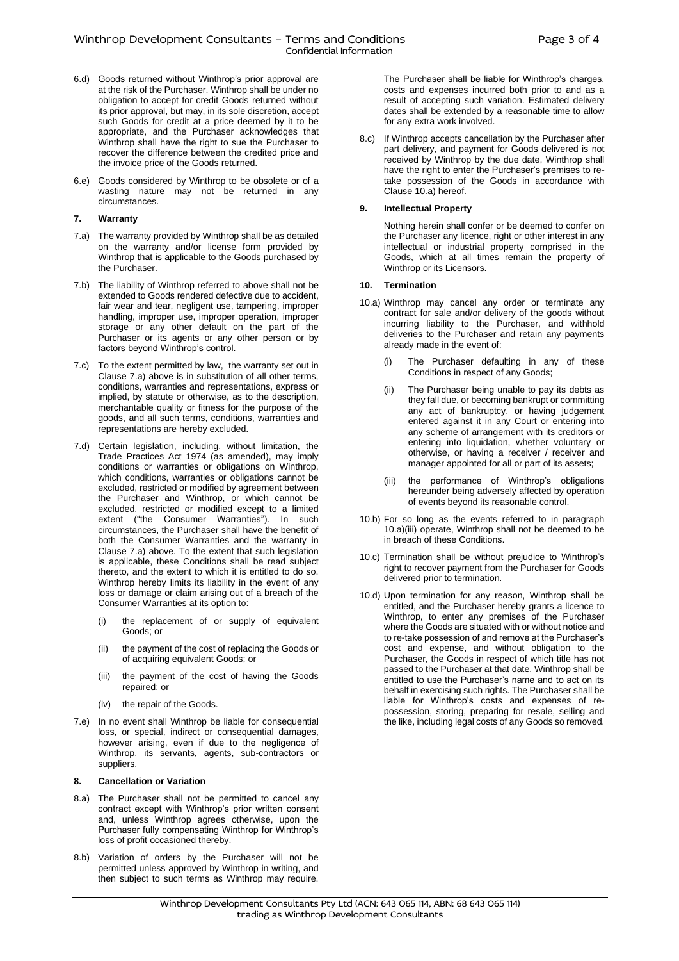- 6.d) Goods returned without Winthrop's prior approval are at the risk of the Purchaser. Winthrop shall be under no obligation to accept for credit Goods returned without its prior approval, but may, in its sole discretion, accept such Goods for credit at a price deemed by it to be appropriate, and the Purchaser acknowledges that Winthrop shall have the right to sue the Purchaser to recover the difference between the credited price and the invoice price of the Goods returned.
- 6.e) Goods considered by Winthrop to be obsolete or of a wasting nature may not be returned in any circumstances.

## **7. Warranty**

- 7.a) The warranty provided by Winthrop shall be as detailed on the warranty and/or license form provided by Winthrop that is applicable to the Goods purchased by the Purchaser.
- 7.b) The liability of Winthrop referred to above shall not be extended to Goods rendered defective due to accident, fair wear and tear, negligent use, tampering, improper handling, improper use, improper operation, improper storage or any other default on the part of the Purchaser or its agents or any other person or by factors beyond Winthrop's control.
- 7.c) To the extent permitted by law, the warranty set out in Clause 7.a) above is in substitution of all other terms, conditions, warranties and representations, express or implied, by statute or otherwise, as to the description, merchantable quality or fitness for the purpose of the goods, and all such terms, conditions, warranties and representations are hereby excluded.
- 7.d) Certain legislation, including, without limitation, the Trade Practices Act 1974 (as amended), may imply conditions or warranties or obligations on Winthrop, which conditions, warranties or obligations cannot be excluded, restricted or modified by agreement between the Purchaser and Winthrop, or which cannot be excluded, restricted or modified except to a limited extent ("the Consumer Warranties"). In such circumstances, the Purchaser shall have the benefit of both the Consumer Warranties and the warranty in Clause 7.a) above. To the extent that such legislation is applicable, these Conditions shall be read subject thereto, and the extent to which it is entitled to do so. Winthrop hereby limits its liability in the event of any loss or damage or claim arising out of a breach of the Consumer Warranties at its option to:
	- the replacement of or supply of equivalent Goods; or
	- (ii) the payment of the cost of replacing the Goods or of acquiring equivalent Goods; or
	- (iii) the payment of the cost of having the Goods repaired; or
	- (iv) the repair of the Goods.
- 7.e) In no event shall Winthrop be liable for consequential loss, or special, indirect or consequential damages, however arising, even if due to the negligence of Winthrop, its servants, agents, sub-contractors or suppliers.

# **8. Cancellation or Variation**

- 8.a) The Purchaser shall not be permitted to cancel any contract except with Winthrop's prior written consent and, unless Winthrop agrees otherwise, upon the Purchaser fully compensating Winthrop for Winthrop's loss of profit occasioned thereby.
- 8.b) Variation of orders by the Purchaser will not be permitted unless approved by Winthrop in writing, and then subject to such terms as Winthrop may require.

The Purchaser shall be liable for Winthrop's charges, costs and expenses incurred both prior to and as a result of accepting such variation. Estimated delivery dates shall be extended by a reasonable time to allow for any extra work involved.

8.c) If Winthrop accepts cancellation by the Purchaser after part delivery, and payment for Goods delivered is not received by Winthrop by the due date, Winthrop shall have the right to enter the Purchaser's premises to retake possession of the Goods in accordance with Clause 10.a) hereof.

## **9. Intellectual Property**

Nothing herein shall confer or be deemed to confer on the Purchaser any licence, right or other interest in any intellectual or industrial property comprised in the Goods, which at all times remain the property of Winthrop or its Licensors.

## **10. Termination**

- 10.a) Winthrop may cancel any order or terminate any contract for sale and/or delivery of the goods without incurring liability to the Purchaser, and withhold deliveries to the Purchaser and retain any payments already made in the event of:
	- (i) The Purchaser defaulting in any of these Conditions in respect of any Goods;
	- (ii) The Purchaser being unable to pay its debts as they fall due, or becoming bankrupt or committing any act of bankruptcy, or having judgement entered against it in any Court or entering into any scheme of arrangement with its creditors or entering into liquidation, whether voluntary or otherwise, or having a receiver / receiver and manager appointed for all or part of its assets;
	- (iii) the performance of Winthrop's obligations hereunder being adversely affected by operation of events beyond its reasonable control.
- 10.b) For so long as the events referred to in paragraph 10.a)(iii) operate, Winthrop shall not be deemed to be in breach of these Conditions.
- 10.c) Termination shall be without prejudice to Winthrop's right to recover payment from the Purchaser for Goods delivered prior to termination.
- 10.d) Upon termination for any reason, Winthrop shall be entitled, and the Purchaser hereby grants a licence to Winthrop, to enter any premises of the Purchaser where the Goods are situated with or without notice and to re-take possession of and remove at the Purchaser's cost and expense, and without obligation to the Purchaser, the Goods in respect of which title has not passed to the Purchaser at that date. Winthrop shall be entitled to use the Purchaser's name and to act on its behalf in exercising such rights. The Purchaser shall be liable for Winthrop's costs and expenses of repossession, storing, preparing for resale, selling and the like, including legal costs of any Goods so removed.